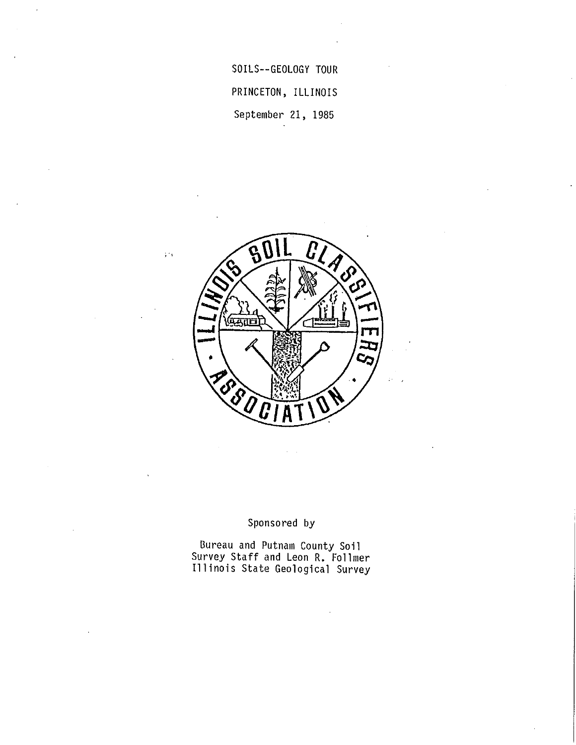SOILS--GEOLOGY TOUR PRINCETON, ILLINOIS September 21, 1985



;·1

## Sponsored by

Bureau and Putnam County Soil Survey Staff and Leon R. Follmer Illinois State Geological Survey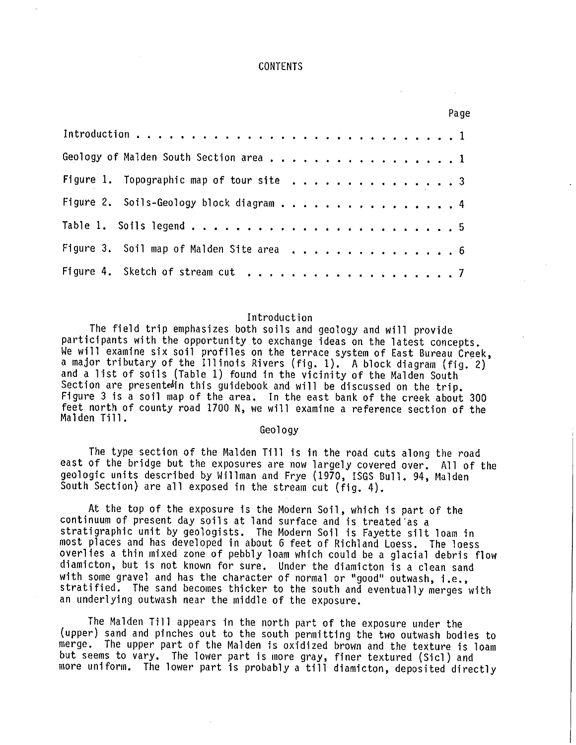#### CONTENTS

|                                          | Page |
|------------------------------------------|------|
|                                          |      |
| Geology of Malden South Section area 1   |      |
| Figure 1. Topographic map of tour site 3 |      |
| Figure 2. Soils-Geology block diagram 4  |      |
|                                          |      |
|                                          |      |
|                                          |      |

#### Introduction

The field trip emphasizes both soils and geology and will provide participants with the opportunity to exchange ideas on the latest concepts. We will examine six soil profiles on the terrace system of East Bureau Creek, a major tributary of the Illinois Rivers (fig. 1). A block diagram (fig. 2) and a list of soils (Table 1) found in the vicinity of the Malden South Section are presentedin this guidebook and will be discussed on the trip. Figure 3 is a soil map of the area. In the east bank of the creek about 300 feet north of county road 1700 N, we will examine a reference section of the Malden Till.

### Geology

The type section of the Malden Till is in the road cuts along the road east of the bridge but the exposures are now largely covered over. All of the geologic units described by Willman and Frye (1970, !SGS Bull. 94, Malden South Section) are all exposed in the stream cut (fig. 4).

At the top of the exposure is the Modern Soil, which is part of the continuum of present day soils at land surface and is treated'as a stratigraphic unit by geologists. The Modern Soil is Fayette silt loam in most places and has developed in about 6 feet of Richland Loess. The loess overlies a thin mixed zone of pebbly loam which could be a glacial debris flow diamicton, but is not known for sure. Under the diamicton is a clean sand with some gravel and has the character of normal or "good" outwash, i.e., stratified. The sand becomes thicker to the south and eventually merges with an underlying outwash near the middle of the exposure.

The Malden Till appears in the north part of the exposure under the (upper) sand and pinches out to the south permitting the two outwash bodies to merge. The upper part of the Malden is oxidized brown and the texture is loam but seems to vary. The lower part is more gray, finer textured (Sicl) and more uniform. The lower part is probably a till diamicton, deposited directly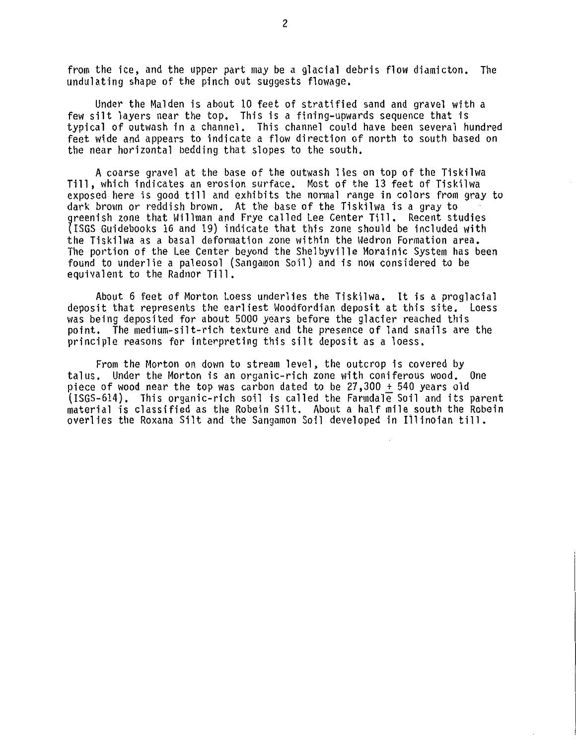from the ice, and the upper part may be a glacial debris flow diamicton. The undulating shape of the pinch out suggests flowage.

Under the Malden is about 10 feet of stratified sand and gravel with a few silt layers near the top. This is a fining-upwards sequence that is typical of outwash in a channel. This channel could have been several hundred feet wide and appears to indicate a flow direction of north to south based on the near horizontal bedding that slopes to the south,

A coarse gravel at the base of the outwash lies on top of the Tiskilwa Till, which indicates an erosion surface, Most of the 13 feet of Tiskilwa exposed here is good till and exhibits the normal range in colors from gray to dark brown or reddish brown. At the base of the Tiskilwa is a gray to greenish zone that Willman and Frye called Lee Center Till. Recent studies {!SGS Guidebooks 16 and 19) indicate that this zone should be included with the Tiskilwa as a basal deformation zone within the Wedron Formation area, The portion of the Lee Center beyond the Shelbyville Morainic System has been found to underlie a paleosol (Sangamon Soil) and is now considered to be equivalent to the Radnor Till.

About 6 feet of Morton Loess underlies the Tiskilwa. It is a proglacial deposit that represents the earliest Woodfordian deposit at this site. Loess was being deposited for about 5000 years before the glacier reached this point, The medium-silt-rich texture and the presence of land snails are the principle reasons for interpreting this silt deposit as a loess.

From the Morton on down to stream level, the outcrop is covered by talus. Under the Morton is an organic-rich zone with coniferous wood. One piece of wood near the top was carbon dated to be 27,300 + 540 years old (ISGS-614). This organic-rich soil is called the Farmdale Soil and its parent material is classified as the Robein Silt. About a half mile south the Robein overlies the Roxana Silt and the Sangamon Soil developed in I1linoian till.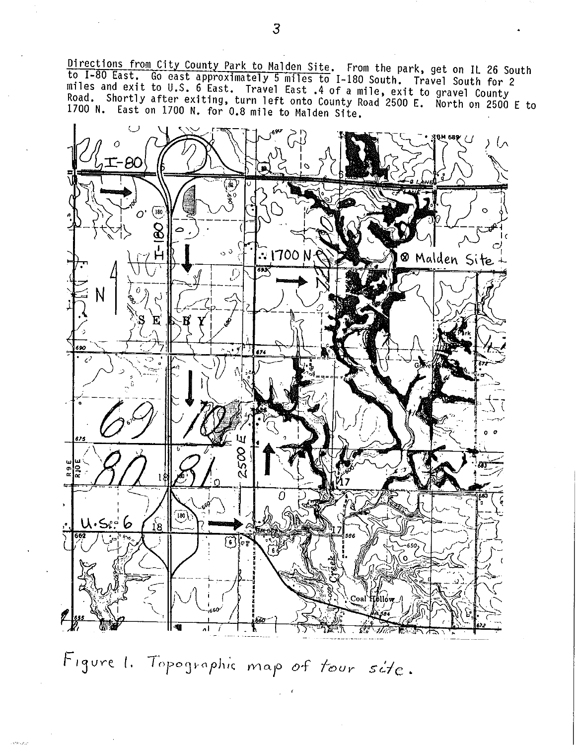Directions from City County Park to Malden Site, From the park, get on IL 26 South to I-80 East, Go east approximately 5 miles to I-180 South, Travel South for 2 miles and exit to U.S. 6 East. Travel East .4 of a mile, exit to gravel County<br>Road. Shortly after exiting, turn left onto County Road 2500 E. North on 2500 F to 1700 N. East on 1700 N, for 0.8 mile to Malden Site,



Figure 1. Topographic map of tour site.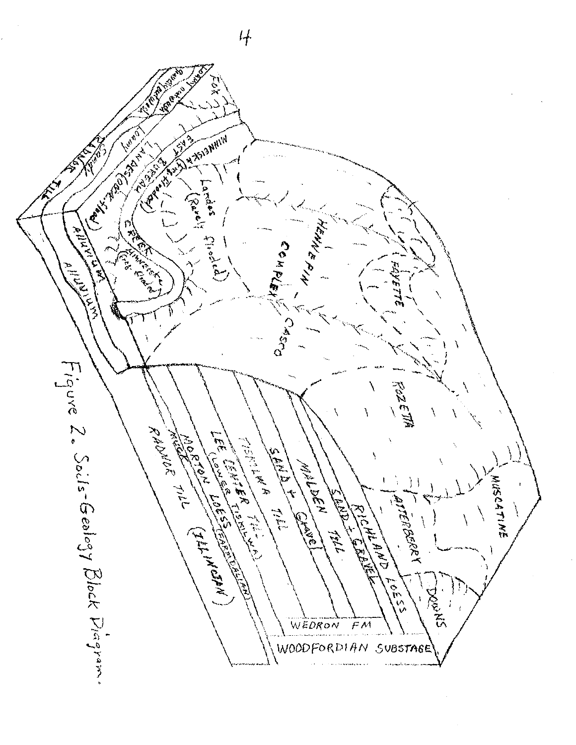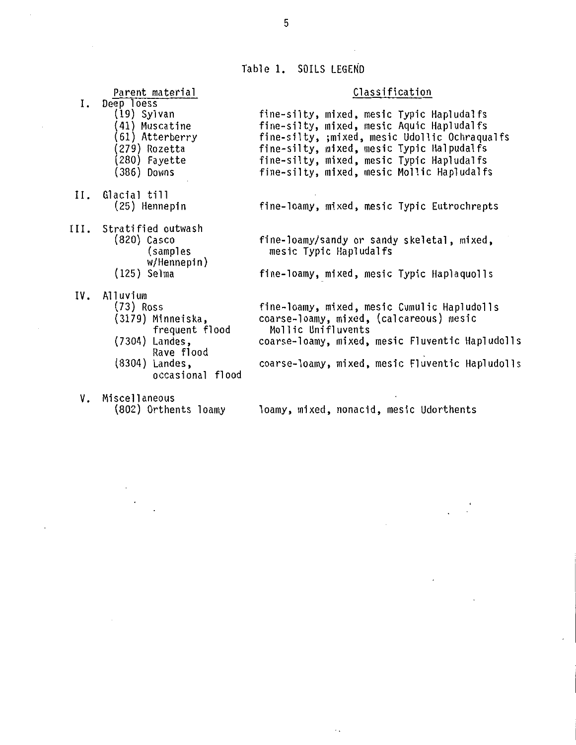Table 1, SOILS LEGEND

# Classification

 $\cdot$ 

|     | --------                                                                                                                           |                                                                                                                                                                                                                                                                                 |
|-----|------------------------------------------------------------------------------------------------------------------------------------|---------------------------------------------------------------------------------------------------------------------------------------------------------------------------------------------------------------------------------------------------------------------------------|
| Ι.  | Deep loess<br>(19) Sylvan<br>41) Muscatine<br>61) Atterberry<br>279) Rozetta<br>280) Fayette<br>(386) Downs                        | fine-silty, mixed, mesic Typic Hapludalfs<br>fine-silty, mixed, mesic Aquic Hapludalfs<br>fine-silty, ;mixed, mesic Udollic Ochraqualfs<br>fine-silty, mixed, mesic Typic Halpudalfs<br>fine-silty, mixed, mesic Typic Hapludalfs<br>fine-silty, mixed, mesic Mollic Hapludalfs |
| II. | Glacial till<br>(25) Hennepin                                                                                                      | fine-loamy, mixed, mesic Typic Eutrochrepts                                                                                                                                                                                                                                     |
|     | III. Stratified outwash<br>$(820)$ Casco<br>(samples)<br>W/Hennepin)<br>(125) Selma                                                | fine-loamy/sandy or sandy skeletal, mixed,<br>mesic Typic Hapludalfs<br>fine-loamy, mixed, mesic Typic Haplaquolls                                                                                                                                                              |
| IV. | Alluvium<br>(73) Ross<br>(3179) Minneiska,<br>frequent flood<br>(7304) Landes,<br>Rave flood<br>(8304) Landes,<br>occasional flood | fine-loamy, mixed, mesic Cumulic Hapludolls<br>coarse-loamy, mixed, (calcareous) mesic<br>Mollic Unifluvents<br>coarse-loamy, mixed, mesic Fluventic Hapludolls<br>coarse-loamy, mixed, mesic Fluventic Hapludolls                                                              |
| ν.  | Miscellaneous<br>(802) Orthents loamy                                                                                              | loamy, mixed, nonacid, mesic Udorthents                                                                                                                                                                                                                                         |

 $\ddotsc$ 

5

Parent material

 $\ddot{\phantom{0}}$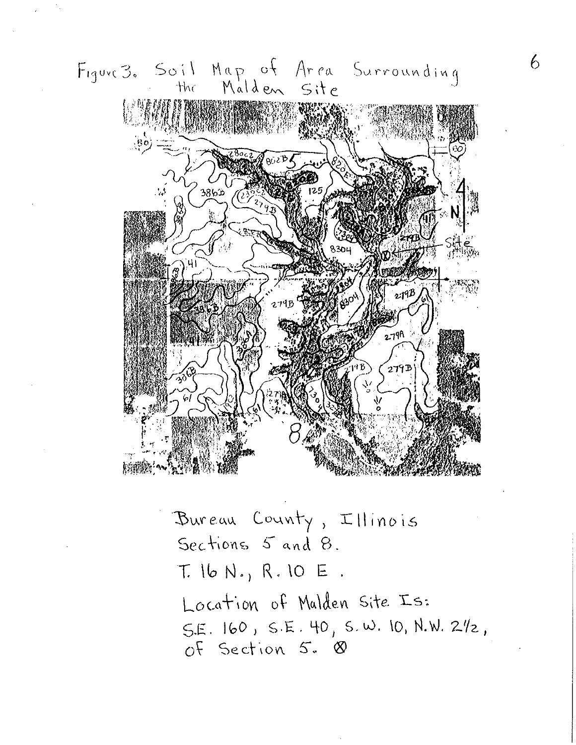

Sections 5 and 8.  $T. 16 N. 10 E.$ Location of Mulden Site Is:  $S.E. 160, S.E. 40, S.W. 10, N.W. 212,$ of Section 5. 8